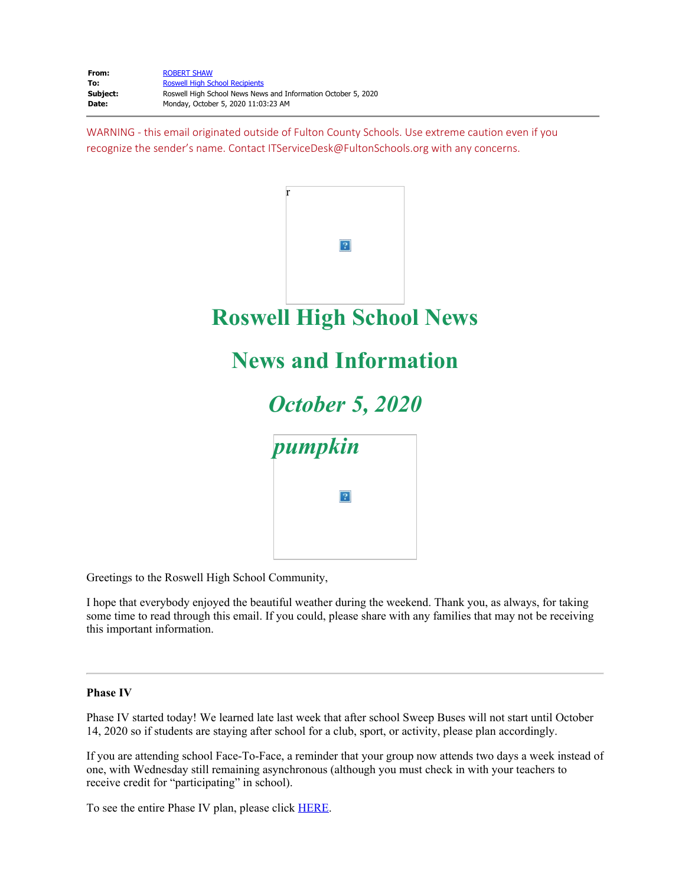From: [ROBERT SHAW](mailto:ShawR@fultonschools.org) **To:** [Roswell High School Recipients](mailto:recipients@fulton.parentlink.net) **Subject:** Roswell High School News News and Information October 5, 2020<br> **Date:** Monday, October 5, 2020 11:03:23 AM **Date:** Monday, October 5, 2020 11:03:23 AM

WARNING - this email originated outside of Fulton County Schools. Use extreme caution even if you recognize the sender's name. Contact ITServiceDesk@FultonSchools.org with any concerns.



Greetings to the Roswell High School Community,

I hope that everybody enjoyed the beautiful weather during the weekend. Thank you, as always, for taking some time to read through this email. If you could, please share with any families that may not be receiving this important information.

### **Phase IV**

Phase IV started today! We learned late last week that after school Sweep Buses will not start until October 14, 2020 so if students are staying after school for a club, sport, or activity, please plan accordingly.

If you are attending school Face-To-Face, a reminder that your group now attends two days a week instead of one, with Wednesday still remaining asynchronous (although you must check in with your teachers to receive credit for "participating" in school).

To see the entire Phase IV plan, please click [HERE](https://nam03.safelinks.protection.outlook.com/?url=http%3A%2F%2Fnew.shawadmin.com%2FRoswell%2FPublic%2FPhaseIV.pdf&data=02%7C01%7Cmurphys%40fultonschools.org%7C1554af2f8251488dc35808d8693fcbf8%7C0cdcb19881694b70ba9fda7e3ba700c2%7C1%7C0%7C637375070023870980&sdata=iHemXAfwmVWCOUXSUrpM8DX7oOBlzP9L1tahHzcig7c%3D&reserved=0).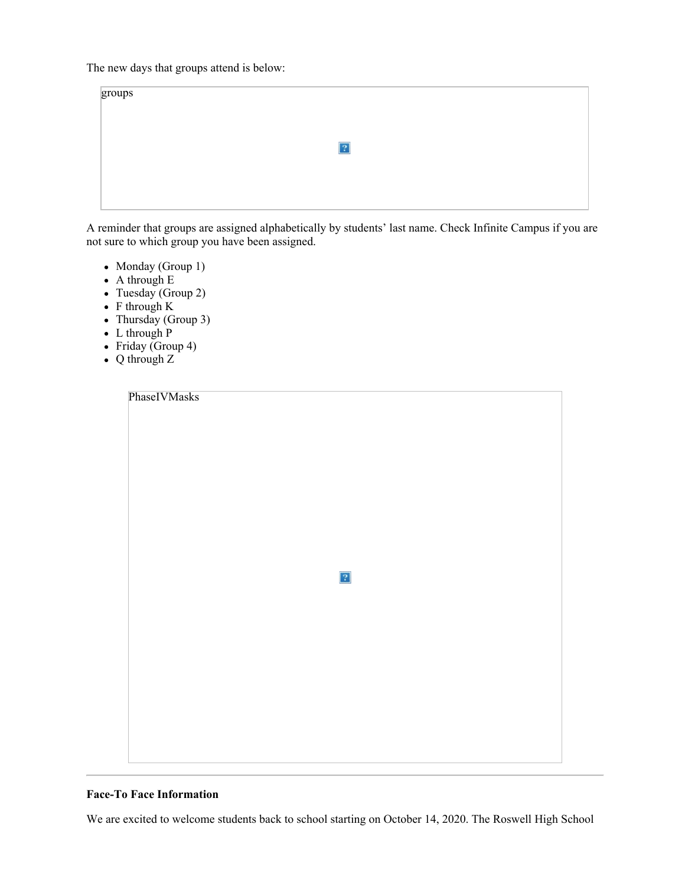The new days that groups attend is below:

| groups |                |
|--------|----------------|
|        |                |
|        | $\overline{?}$ |
|        |                |
|        |                |

A reminder that groups are assigned alphabetically by students' last name. Check Infinite Campus if you are not sure to which group you have been assigned.

- Monday (Group 1)
- A through E
- Tuesday (Group 2)
- $\bullet$  F through K
- Thursday (Group 3)
- $\bullet$  L through P
- Friday (Group 4)
- Q through Z

| PhaseIVMasks |           |  |  |
|--------------|-----------|--|--|
|              |           |  |  |
|              |           |  |  |
|              |           |  |  |
|              |           |  |  |
|              |           |  |  |
|              |           |  |  |
|              |           |  |  |
|              |           |  |  |
|              |           |  |  |
|              |           |  |  |
|              |           |  |  |
|              |           |  |  |
|              |           |  |  |
|              |           |  |  |
|              |           |  |  |
|              | $\vert$ ? |  |  |
|              |           |  |  |
|              |           |  |  |
|              |           |  |  |
|              |           |  |  |
|              |           |  |  |
|              |           |  |  |
|              |           |  |  |
|              |           |  |  |
|              |           |  |  |
|              |           |  |  |
|              |           |  |  |
|              |           |  |  |
|              |           |  |  |
|              |           |  |  |
|              |           |  |  |
|              |           |  |  |

## **Face-To Face Information**

We are excited to welcome students back to school starting on October 14, 2020. The Roswell High School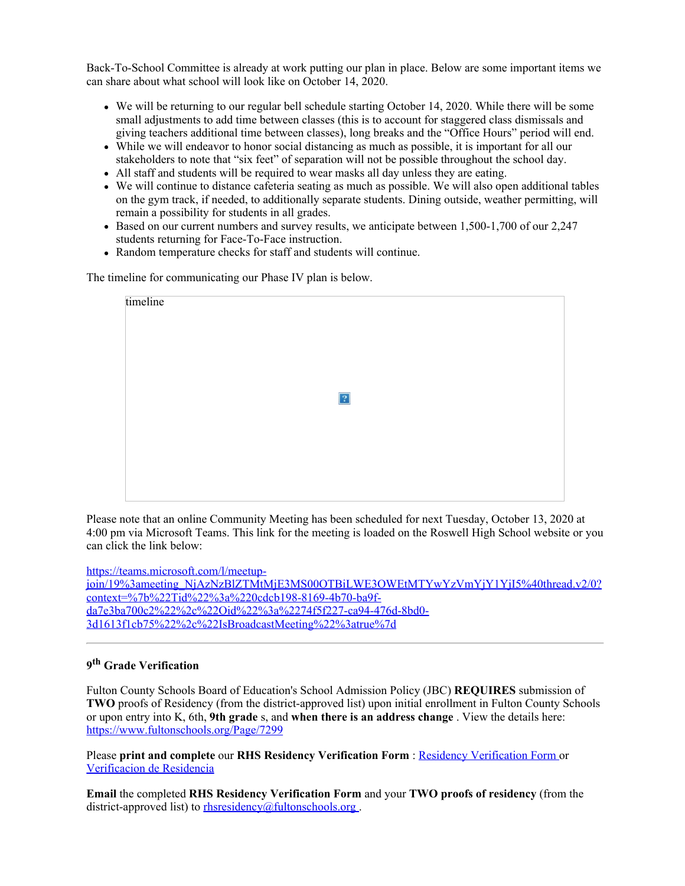Back-To-School Committee is already at work putting our plan in place. Below are some important items we can share about what school will look like on October 14, 2020.

- We will be returning to our regular bell schedule starting October 14, 2020. While there will be some small adjustments to add time between classes (this is to account for staggered class dismissals and giving teachers additional time between classes), long breaks and the "Office Hours" period will end.
- While we will endeavor to honor social distancing as much as possible, it is important for all our stakeholders to note that "six feet" of separation will not be possible throughout the school day.
- All staff and students will be required to wear masks all day unless they are eating.
- We will continue to distance cafeteria seating as much as possible. We will also open additional tables on the gym track, if needed, to additionally separate students. Dining outside, weather permitting, will remain a possibility for students in all grades.
- Based on our current numbers and survey results, we anticipate between 1,500-1,700 of our 2,247 students returning for Face-To-Face instruction.
- Random temperature checks for staff and students will continue.

The timeline for communicating our Phase IV plan is below.

| timeline |  |             |  |  |
|----------|--|-------------|--|--|
|          |  |             |  |  |
|          |  |             |  |  |
|          |  |             |  |  |
|          |  |             |  |  |
|          |  |             |  |  |
|          |  | $\boxed{?}$ |  |  |
|          |  |             |  |  |
|          |  |             |  |  |
|          |  |             |  |  |
|          |  |             |  |  |
|          |  |             |  |  |
|          |  |             |  |  |
|          |  |             |  |  |

Please note that an online Community Meeting has been scheduled for next Tuesday, October 13, 2020 at 4:00 pm via Microsoft Teams. This link for the meeting is loaded on the Roswell High School website or you can click the link below:

[https://teams.microsoft.com/l/meetup-](https://teams.microsoft.com/l/meetup-join/19%3ameeting_NjAzNzBlZTMtMjE3MS00OTBiLWE3OWEtMTYwYzVmYjY1YjI5%40thread.v2/0?context=%7b%22Tid%22%3a%220cdcb198-8169-4b70-ba9f-da7e3ba700c2%22%2c%22Oid%22%3a%2274f5f227-ca94-476d-8bd0-3d1613f1cb75%22%2c%22IsBroadcastMeeting%22%3atrue%7d)

```
join/19%3ameeting_NjAzNzBlZTMtMjE3MS00OTBiLWE3OWEtMTYwYzVmYjY1YjI5%40thread.v2/0?
\frac{\text{context} = %7b\%22Ti\frac{d}{d}\%22\%3a\%220c\text{d}cb198-8169-4b70-ba9f-}{\text{total}+2}\da7e3ba700c2%22%2c%22Oid%22%3a%2274f5f227-ca94-476d-8bd0-
3d1613f1cb75%22%2c%22IsBroadcastMeeting%22%3atrue%7d
```
# **9th Grade Verification**

Fulton County Schools Board of Education's School Admission Policy (JBC) **REQUIRES** submission of **TWO** proofs of Residency (from the district-approved list) upon initial enrollment in Fulton County Schools or upon entry into K, 6th, **9th grade** s, and **when there is an address change** . View the details here: <https://www.fultonschools.org/Page/7299>

Please **print and complete** our **RHS Residency Verification Form** : Residency [Verification](https://www.fultonschools.org/cms/lib/GA50000114/Centricity/Domain/7450/ResidencyVerification.pdf) Form or [Verificacion](https://www.fultonschools.org/cms/lib/GA50000114/Centricity/Domain/7450/ResidencyVerificationSP.pdf) de Residencia

**Email** the completed **RHS Residency Verification Form** and your **TWO proofs of residency** (from the district-approved list) to [rhsresidency@fultonschools.org](mailto:rhsresidency@Fultonschools.org).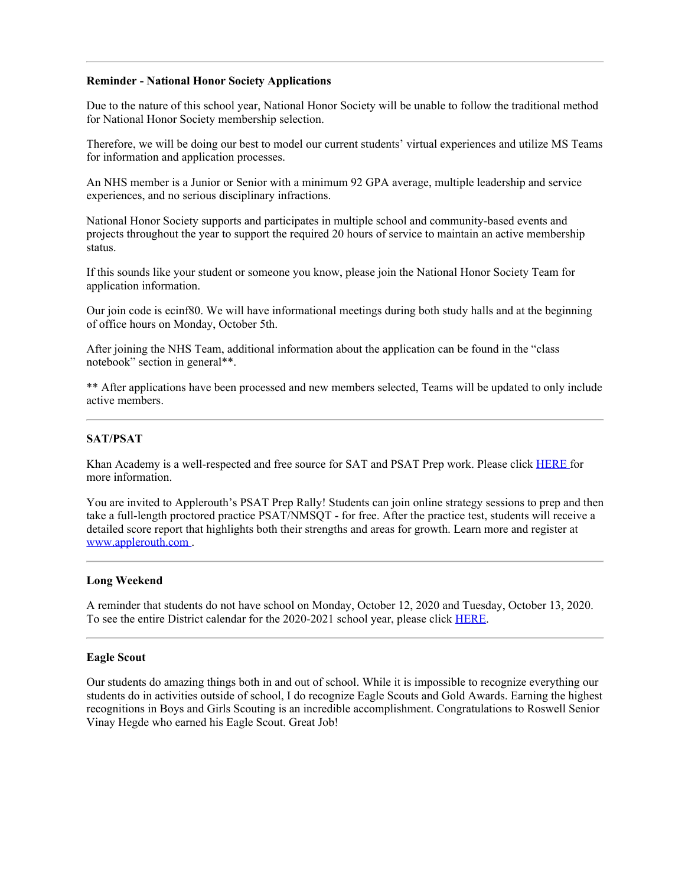#### **Reminder - National Honor Society Applications**

Due to the nature of this school year, National Honor Society will be unable to follow the traditional method for National Honor Society membership selection.

Therefore, we will be doing our best to model our current students' virtual experiences and utilize MS Teams for information and application processes.

An NHS member is a Junior or Senior with a minimum 92 GPA average, multiple leadership and service experiences, and no serious disciplinary infractions.

National Honor Society supports and participates in multiple school and community-based events and projects throughout the year to support the required 20 hours of service to maintain an active membership status.

If this sounds like your student or someone you know, please join the National Honor Society Team for application information.

Our join code is ecinf80. We will have informational meetings during both study halls and at the beginning of office hours on Monday, October 5th.

After joining the NHS Team, additional information about the application can be found in the "class notebook" section in general\*\*.

\*\* After applications have been processed and new members selected, Teams will be updated to only include active members.

### **SAT/PSAT**

Khan Academy is a well-respected and free source for SAT and PSAT Prep work. Please click [HERE](https://nam03.safelinks.protection.outlook.com/?url=https%3A%2F%2Fwww.khanacademy.org%2Ftest-prep%2Fsat&data=02%7C01%7Cmurphys%40fultonschools.org%7C1554af2f8251488dc35808d8693fcbf8%7C0cdcb19881694b70ba9fda7e3ba700c2%7C1%7C0%7C637375070023880975&sdata=hiCmjRMWY2eTApSAVg3Z3FxlTaBo3Vix2eX%2BUCMQiX8%3D&reserved=0) for more information.

You are invited to Applerouth's PSAT Prep Rally! Students can join online strategy sessions to prep and then take a full-length proctored practice PSAT/NMSQT - for free. After the practice test, students will receive a detailed score report that highlights both their strengths and areas for growth. Learn more and register at [www.applerouth.com](https://nam03.safelinks.protection.outlook.com/?url=http%3A%2F%2Fwww.applerouth.com%2F&data=02%7C01%7Cmurphys%40fultonschools.org%7C1554af2f8251488dc35808d8693fcbf8%7C0cdcb19881694b70ba9fda7e3ba700c2%7C1%7C0%7C637375070023890975&sdata=DS6rld6RqFFTSvgIihy%2Fw5buUoHvpcww0LNIPgT%2BCo0%3D&reserved=0) .

#### **Long Weekend**

A reminder that students do not have school on Monday, October 12, 2020 and Tuesday, October 13, 2020. To see the entire District calendar for the 2020-2021 school year, please click [HERE](https://www.fultonschools.org/cms/lib/GA50000114/Centricity/Domain/4/2020-21_FCSCalendar_Color_20200819.pdf).

### **Eagle Scout**

Our students do amazing things both in and out of school. While it is impossible to recognize everything our students do in activities outside of school, I do recognize Eagle Scouts and Gold Awards. Earning the highest recognitions in Boys and Girls Scouting is an incredible accomplishment. Congratulations to Roswell Senior Vinay Hegde who earned his Eagle Scout. Great Job!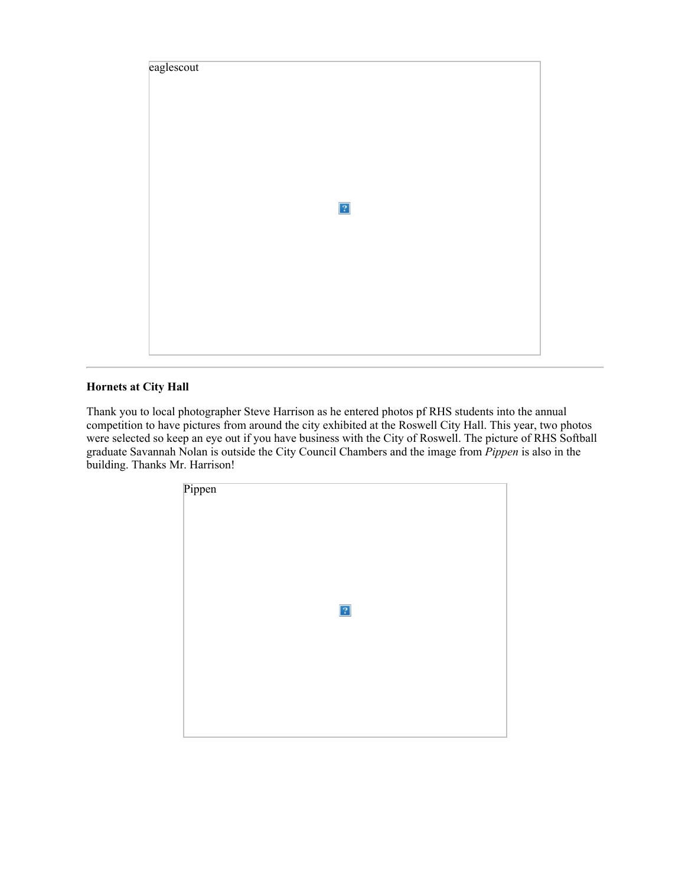

# **Hornets at City Hall**

Thank you to local photographer Steve Harrison as he entered photos pf RHS students into the annual competition to have pictures from around the city exhibited at the Roswell City Hall. This year, two photos were selected so keep an eye out if you have business with the City of Roswell. The picture of RHS Softball graduate Savannah Nolan is outside the City Council Chambers and the image from *Pippen* is also in the building. Thanks Mr. Harrison!

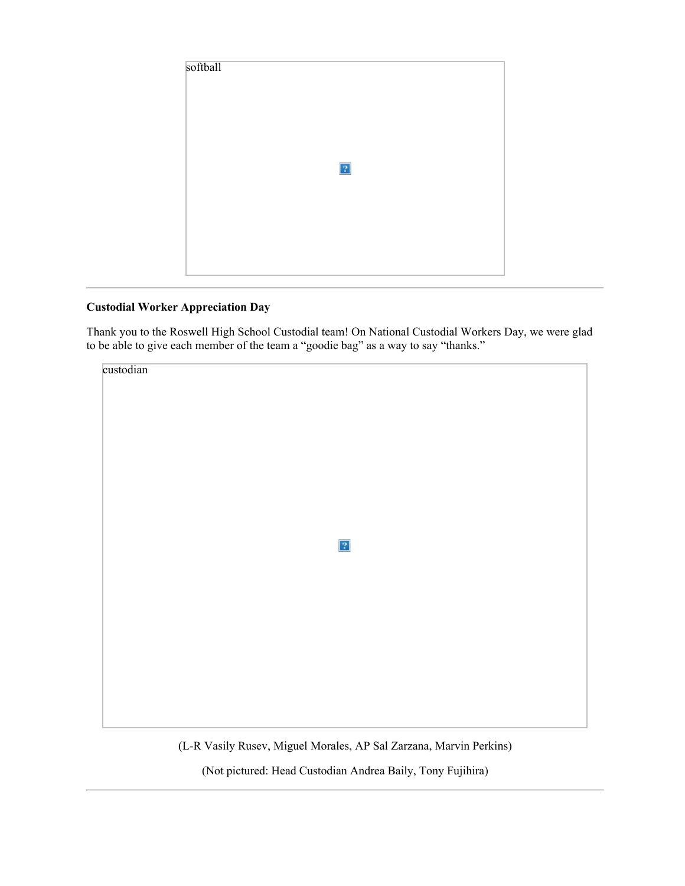

## **Custodial Worker Appreciation Day**

Thank you to the Roswell High School Custodial team! On National Custodial Workers Day, we were glad to be able to give each member of the team a "goodie bag" as a way to say "thanks."



(L-R Vasily Rusev, Miguel Morales, AP Sal Zarzana, Marvin Perkins)

(Not pictured: Head Custodian Andrea Baily, Tony Fujihira)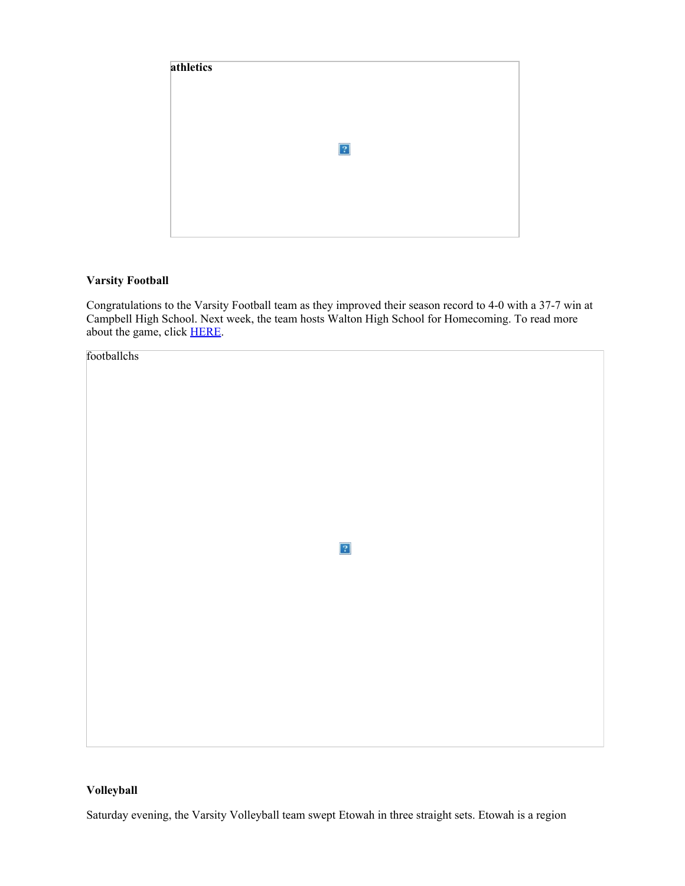

## **Varsity Football**

Congratulations to the Varsity Football team as they improved their season record to 4-0 with a 37-7 win at Campbell High School. Next week, the team hosts Walton High School for Homecoming. To read more about the game, click [HERE](https://nam03.safelinks.protection.outlook.com/?url=https%3A%2F%2Fwww.mdjonline.com%2Fcobb_football_friday%2Froswell-holds-campbell-in-check%2Farticle_ed85f762-0536-11eb-b78e-07113a313b12.html&data=02%7C01%7Cmurphys%40fultonschools.org%7C1554af2f8251488dc35808d8693fcbf8%7C0cdcb19881694b70ba9fda7e3ba700c2%7C1%7C0%7C637375070023900969&sdata=UKojampBu8V6GppwRZ70bN7NJqF%2FrAmp%2F6ZtiWoDKPU%3D&reserved=0).



## **Volleyball**

Saturday evening, the Varsity Volleyball team swept Etowah in three straight sets. Etowah is a region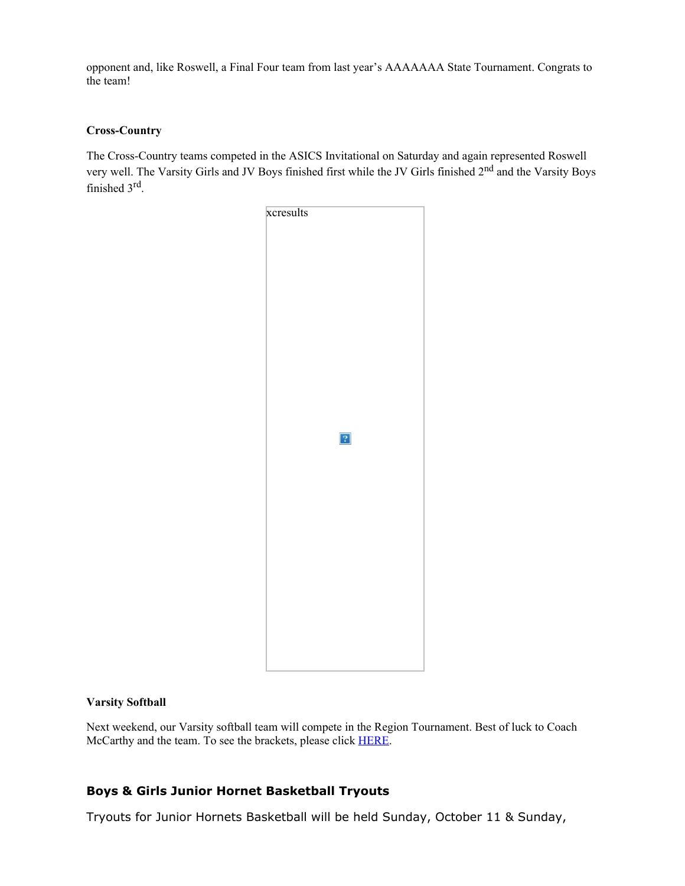opponent and, like Roswell, a Final Four team from last year's AAAAAAA State Tournament. Congrats to the team!

## **Cross-Country**

The Cross-Country teams competed in the ASICS Invitational on Saturday and again represented Roswell very well. The Varsity Girls and JV Boys finished first while the JV Girls finished 2nd and the Varsity Boys finished 3rd.



## **Varsity Softball**

Next weekend, our Varsity softball team will compete in the Region Tournament. Best of luck to Coach McCarthy and the team. To see the brackets, please click [HERE](file:///E:/Robert%20Shaw/L/Letters/2020%20Region%205AAAAAAA%20Tournament%20v2.pdf).

## **Boys & Girls Junior Hornet Basketball Tryouts**

Tryouts for Junior Hornets Basketball will be held Sunday, October 11 & Sunday,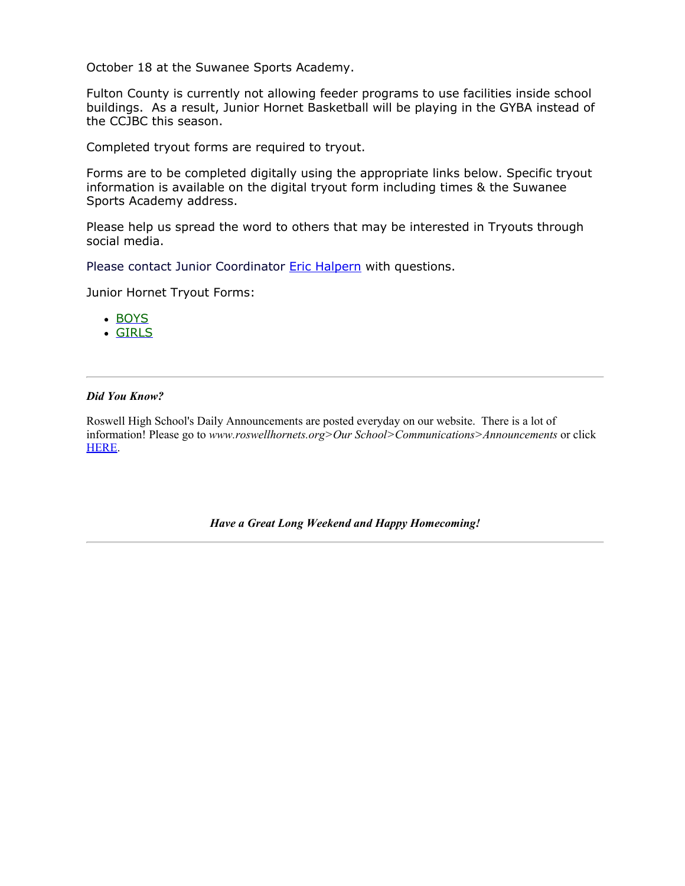October 18 at the Suwanee Sports Academy.

Fulton County is currently not allowing feeder programs to use facilities inside school buildings. As a result, Junior Hornet Basketball will be playing in the GYBA instead of the CCJBC this season.

Completed tryout forms are required to tryout.

Forms are to be completed digitally using the appropriate links below. Specific tryout information is available on the digital tryout form including times & the Suwanee Sports Academy address.

Please help us spread the word to others that may be interested in Tryouts through social media.

Please contact Junior Coordinator **[Eric Halpern](mailto:roswelljuniorbasketball@gmail.com)** with questions.

Junior Hornet Tryout Forms:

- [BOYS](https://forms.office.com/Pages/ResponsePage.aspx?id=mLHcDGmBcEu6n9p-O6cAwmhFMFbQQqpPnFT6OQOnOlBUNlI1Rk1RWEJaRDNEMFBTSkZFUDJKSVdUSi4u)
- [GIRLS](https://forms.office.com/Pages/ResponsePage.aspx?id=mLHcDGmBcEu6n9p-O6cAwmhFMFbQQqpPnFT6OQOnOlBUQ0VUWTBQS0kyQkxJUzU1NllDMTBKTVhHTi4u)

## *Did You Know?*

Roswell High School's Daily Announcements are posted everyday on our website. There is a lot of information! Please go to *www.roswellhornets.org>Our School>Communications>Announcements* or click [HERE](https://www.fultonschools.org/Page/16758).

*Have a Great Long Weekend and Happy Homecoming!*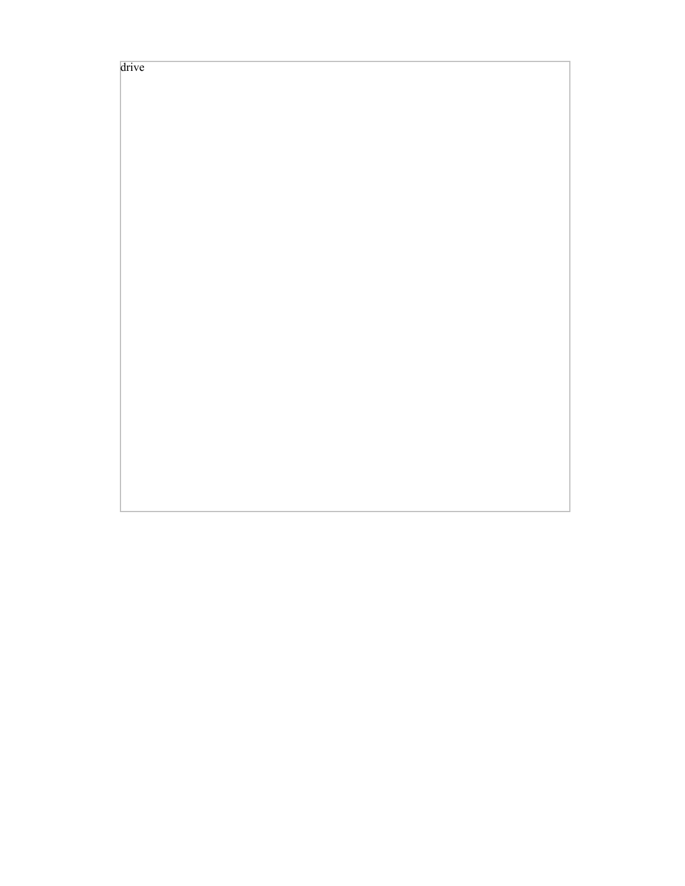drive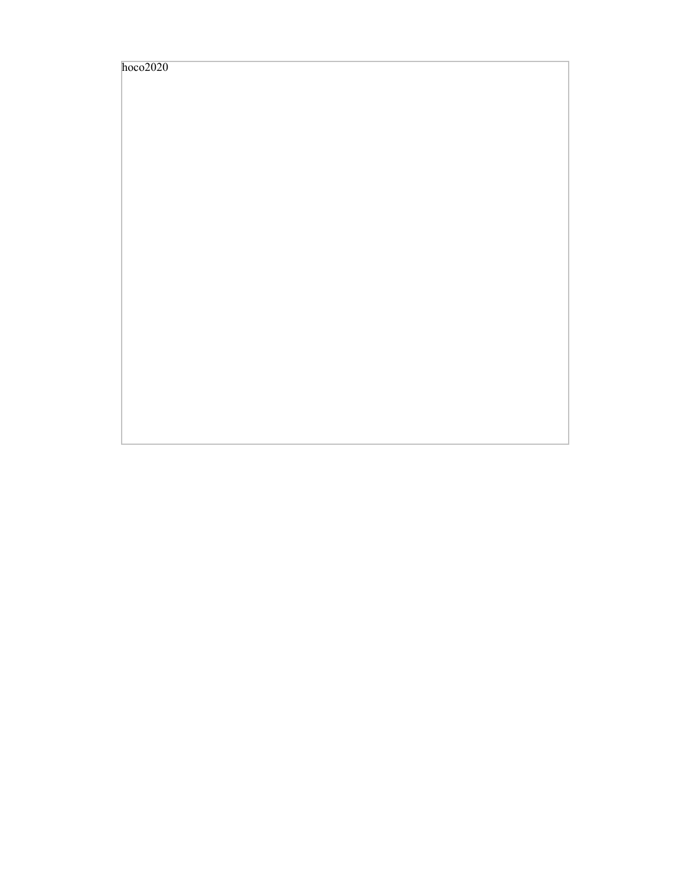| hoco2020 |  |
|----------|--|
|          |  |
|          |  |
|          |  |
|          |  |
|          |  |
|          |  |
|          |  |
|          |  |
|          |  |
|          |  |
|          |  |
|          |  |
|          |  |
|          |  |
|          |  |
|          |  |
|          |  |
|          |  |
|          |  |
|          |  |
|          |  |
|          |  |
|          |  |
|          |  |
|          |  |
|          |  |
|          |  |
|          |  |
|          |  |
|          |  |
|          |  |
|          |  |
|          |  |
|          |  |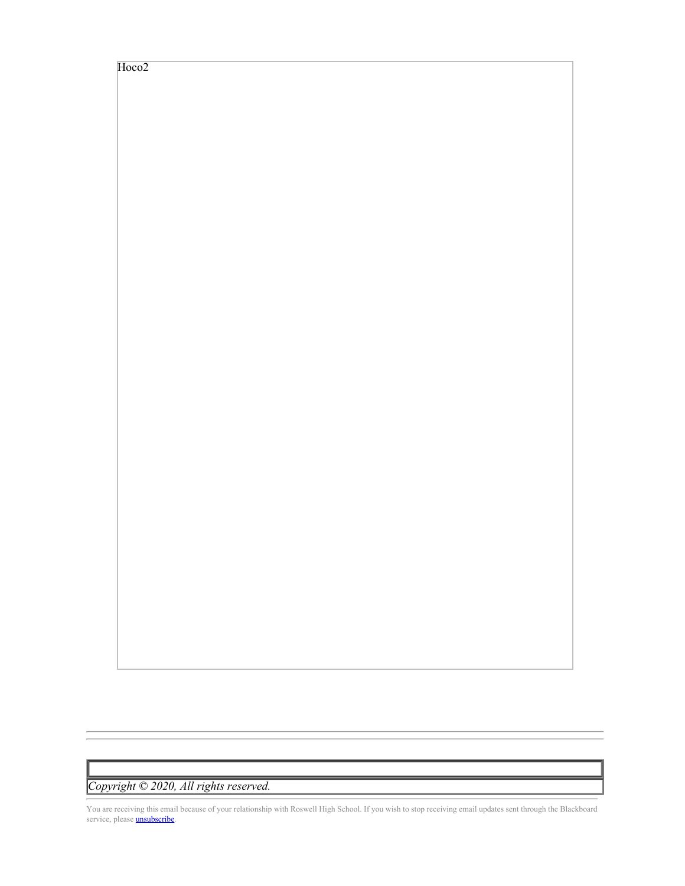Hoco<sub>2</sub>

*Copyright © 2020, All rights reserved.*

You are receiving this email because of your relationship with Roswell High School. If you wish to stop receiving email updates sent through the Blackboard service, please **[unsubscribe](https://nam03.safelinks.protection.outlook.com/?url=https%3A%2F%2Ffulton.parentlink.net%2Fmain%2Funsubscribe%3Fa%3Dall%26d%3DMjQyMDk5OQ%253D%253D%250A&data=02%7C01%7Cmurphys%40fultonschools.org%7C1554af2f8251488dc35808d8693fcbf8%7C0cdcb19881694b70ba9fda7e3ba700c2%7C1%7C0%7C637375070023900969&sdata=2Au7evjeOO4y%2Bi31x2gzOMWcmA9rO%2F8HiIf2yVKiUI4%3D&reserved=0)**.